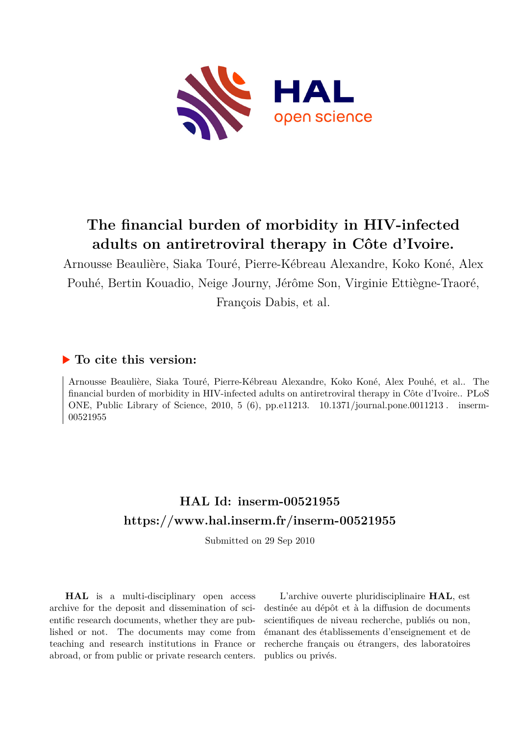

## **The financial burden of morbidity in HIV-infected adults on antiretroviral therapy in Côte d'Ivoire.**

Arnousse Beaulière, Siaka Touré, Pierre-Kébreau Alexandre, Koko Koné, Alex Pouhé, Bertin Kouadio, Neige Journy, Jérôme Son, Virginie Ettiègne-Traoré, François Dabis, et al.

## **To cite this version:**

Arnousse Beaulière, Siaka Touré, Pierre-Kébreau Alexandre, Koko Koné, Alex Pouhé, et al.. The financial burden of morbidity in HIV-infected adults on antiretroviral therapy in Côte d'Ivoire.. PLoS ONE, Public Library of Science, 2010, 5 (6), pp.e11213.  $10.1371/journal.pone.0011213$ . inserm-00521955ff

## **HAL Id: inserm-00521955 <https://www.hal.inserm.fr/inserm-00521955>**

Submitted on 29 Sep 2010

**HAL** is a multi-disciplinary open access archive for the deposit and dissemination of scientific research documents, whether they are published or not. The documents may come from teaching and research institutions in France or abroad, or from public or private research centers.

L'archive ouverte pluridisciplinaire **HAL**, est destinée au dépôt et à la diffusion de documents scientifiques de niveau recherche, publiés ou non, émanant des établissements d'enseignement et de recherche français ou étrangers, des laboratoires publics ou privés.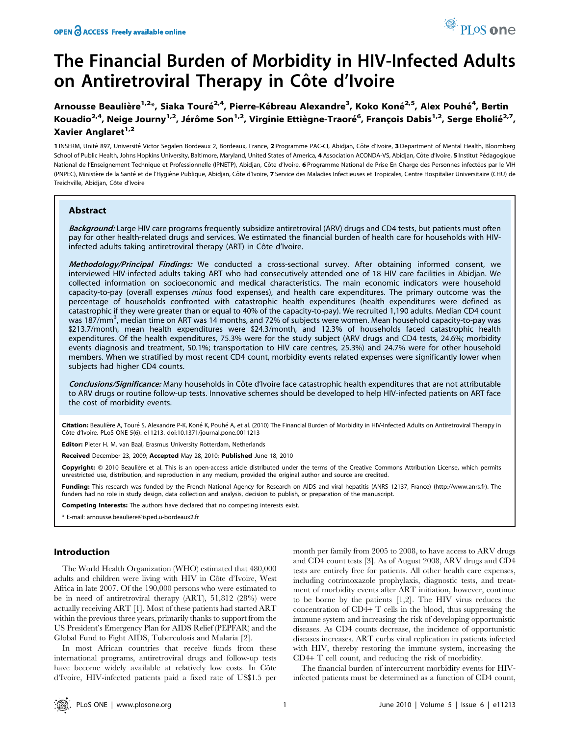# The Financial Burden of Morbidity in HIV-Infected Adults on Antiretroviral Therapy in Côte d'Ivoire

Arnousse Beaulière<sup>1,2</sup>\*, Siaka Touré<sup>2,4</sup>, Pierre-Kébreau Alexandre<sup>3</sup>, Koko Koné<sup>2,5</sup>, Alex Pouhé<sup>4</sup>, Bertin Kouadio<sup>2,4</sup>, Neige Journy<sup>1,2</sup>, Jérôme Son<sup>1,2</sup>, Virginie Ettiègne-Traoré<sup>6</sup>, François Dabis<sup>1,2</sup>, Serge Eholié<sup>2,7</sup>, Xavier Anglaret<sup>1,2</sup>

1 INSERM, Unité 897, Université Victor Segalen Bordeaux 2, Bordeaux, France, 2 Programme PAC-CI, Abidjan, Côte d'Ivoire, 3 Department of Mental Health, Bloomberg School of Public Health, Johns Hopkins University, Baltimore, Maryland, United States of America, 4 Association ACONDA-VS, Abidjan, Côte d'Ivoire, 5 Institut Pédagogique National de l'Enseignement Technique et Professionnelle (IPNETP), Abidjan, Côte d'Ivoire, 6 Programme National de Prise En Charge des Personnes infectées par le VIH (PNPEC), Ministère de la Santé et de l'Hygiène Publique, Abidjan, Côte d'Ivoire, 7 Service des Maladies Infectieuses et Tropicales, Centre Hospitalier Universitaire (CHU) de Treichville, Abidjan, Côte d'Ivoire

## Abstract

Background: Large HIV care programs frequently subsidize antiretroviral (ARV) drugs and CD4 tests, but patients must often pay for other health-related drugs and services. We estimated the financial burden of health care for households with HIVinfected adults taking antiretroviral therapy (ART) in Côte d'Ivoire.

Methodology/Principal Findings: We conducted a cross-sectional survey. After obtaining informed consent, we interviewed HIV-infected adults taking ART who had consecutively attended one of 18 HIV care facilities in Abidjan. We collected information on socioeconomic and medical characteristics. The main economic indicators were household capacity-to-pay (overall expenses minus food expenses), and health care expenditures. The primary outcome was the percentage of households confronted with catastrophic health expenditures (health expenditures were defined as catastrophic if they were greater than or equal to 40% of the capacity-to-pay). We recruited 1,190 adults. Median CD4 count was 187/mm<sup>3</sup>, median time on ART was 14 months, and 72% of subjects were women. Mean household capacity-to-pay was \$213.7/month, mean health expenditures were \$24.3/month, and 12.3% of households faced catastrophic health expenditures. Of the health expenditures, 75.3% were for the study subject (ARV drugs and CD4 tests, 24.6%; morbidity events diagnosis and treatment, 50.1%; transportation to HIV care centres, 25.3%) and 24.7% were for other household members. When we stratified by most recent CD4 count, morbidity events related expenses were significantly lower when subjects had higher CD4 counts.

Conclusions/Significance: Many households in Côte d'Ivoire face catastrophic health expenditures that are not attributable to ARV drugs or routine follow-up tests. Innovative schemes should be developed to help HIV-infected patients on ART face the cost of morbidity events.

Citation: Beaulière A, Touré S, Alexandre P-K, Koné K, Pouhé A, et al. (2010) The Financial Burden of Morbidity in HIV-Infected Adults on Antiretroviral Therapy in Côte d'Ivoire. PLoS ONE 5(6): e11213. doi:10.1371/journal.pone.0011213

Editor: Pieter H. M. van Baal, Erasmus University Rotterdam, Netherlands

Received December 23, 2009; Accepted May 28, 2010; Published June 18, 2010

Copyright: © 2010 Beaulière et al. This is an open-access article distributed under the terms of the Creative Commons Attribution License, which permits unrestricted use, distribution, and reproduction in any medium, provided the original author and source are credited.

Funding: This research was funded by the French National Agency for Research on AIDS and viral hepatitis (ANRS 12137, France) (http://www.anrs.fr). The funders had no role in study design, data collection and analysis, decision to publish, or preparation of the manuscript.

Competing Interests: The authors have declared that no competing interests exist.

\* E-mail: arnousse.beauliere@isped.u-bordeaux2.fr

### Introduction

The World Health Organization (WHO) estimated that 480,000 adults and children were living with HIV in Côte d'Ivoire, West Africa in late 2007. Of the 190,000 persons who were estimated to be in need of antiretroviral therapy (ART), 51,812 (28%) were actually receiving ART [1]. Most of these patients had started ART within the previous three years, primarily thanks to support from the US President's Emergency Plan for AIDS Relief (PEPFAR) and the Global Fund to Fight AIDS, Tuberculosis and Malaria [2].

In most African countries that receive funds from these international programs, antiretroviral drugs and follow-up tests have become widely available at relatively low costs. In Côte d'Ivoire, HIV-infected patients paid a fixed rate of US\$1.5 per month per family from 2005 to 2008, to have access to ARV drugs and CD4 count tests [3]. As of August 2008, ARV drugs and CD4 tests are entirely free for patients. All other health care expenses, including cotrimoxazole prophylaxis, diagnostic tests, and treatment of morbidity events after ART initiation, however, continue to be borne by the patients [1,2]. The HIV virus reduces the concentration of CD4+ T cells in the blood, thus suppressing the immune system and increasing the risk of developing opportunistic diseases. As CD4 counts decrease, the incidence of opportunistic diseases increases. ART curbs viral replication in patients infected with HIV, thereby restoring the immune system, increasing the CD4+ T cell count, and reducing the risk of morbidity.

The financial burden of intercurrent morbidity events for HIVinfected patients must be determined as a function of CD4 count,

PLoS one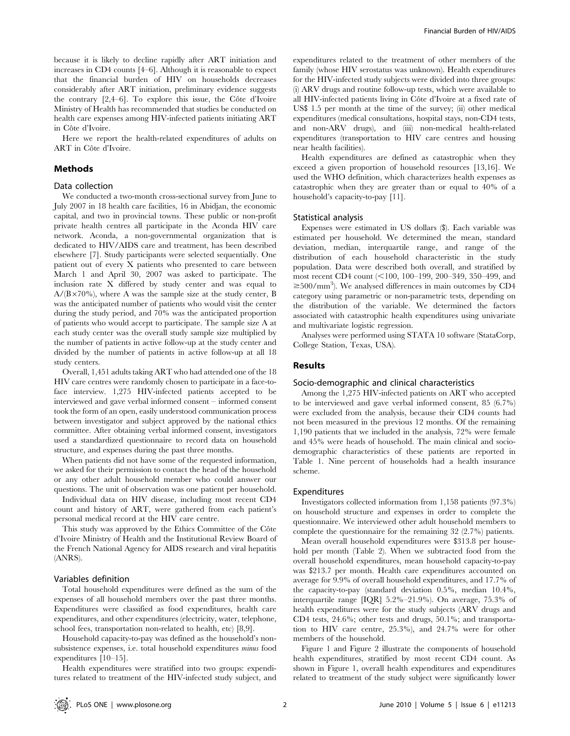because it is likely to decline rapidly after ART initiation and increases in CD4 counts [4–6]. Although it is reasonable to expect that the financial burden of HIV on households decreases considerably after ART initiation, preliminary evidence suggests the contrary  $[2,4–6]$ . To explore this issue, the Côte d'Ivoire Ministry of Health has recommended that studies be conducted on health care expenses among HIV-infected patients initiating ART in Côte d'Ivoire.

Here we report the health-related expenditures of adults on ART in Côte d'Ivoire.

#### Methods

### Data collection

We conducted a two-month cross-sectional survey from June to July 2007 in 18 health care facilities, 16 in Abidjan, the economic capital, and two in provincial towns. These public or non-profit private health centres all participate in the Aconda HIV care network. Aconda, a non-governmental organization that is dedicated to HIV/AIDS care and treatment, has been described elsewhere [7]. Study participants were selected sequentially. One patient out of every X patients who presented to care between March 1 and April 30, 2007 was asked to participate. The inclusion rate X differed by study center and was equal to  $A/(B \times 70\%)$ , where A was the sample size at the study center, B was the anticipated number of patients who would visit the center during the study period, and 70% was the anticipated proportion of patients who would accept to participate. The sample size A at each study center was the overall study sample size multiplied by the number of patients in active follow-up at the study center and divided by the number of patients in active follow-up at all 18 study centers.

Overall, 1,451 adults taking ART who had attended one of the 18 HIV care centres were randomly chosen to participate in a face-toface interview. 1,275 HIV-infected patients accepted to be interviewed and gave verbal informed consent – informed consent took the form of an open, easily understood communication process between investigator and subject approved by the national ethics committee. After obtaining verbal informed consent, investigators used a standardized questionnaire to record data on household structure, and expenses during the past three months.

When patients did not have some of the requested information, we asked for their permission to contact the head of the household or any other adult household member who could answer our questions. The unit of observation was one patient per household.

Individual data on HIV disease, including most recent CD4 count and history of ART, were gathered from each patient's personal medical record at the HIV care centre.

This study was approved by the Ethics Committee of the Côte d'Ivoire Ministry of Health and the Institutional Review Board of the French National Agency for AIDS research and viral hepatitis (ANRS).

#### Variables definition

Total household expenditures were defined as the sum of the expenses of all household members over the past three months. Expenditures were classified as food expenditures, health care expenditures, and other expenditures (electricity, water, telephone, school fees, transportation non-related to health, etc) [8,9].

Household capacity-to-pay was defined as the household's nonsubsistence expenses, i.e. total household expenditures minus food expenditures [10–15].

Health expenditures were stratified into two groups: expenditures related to treatment of the HIV-infected study subject, and expenditures related to the treatment of other members of the family (whose HIV serostatus was unknown). Health expenditures for the HIV-infected study subjects were divided into three groups: (i) ARV drugs and routine follow-up tests, which were available to all HIV-infected patients living in Côte d'Ivoire at a fixed rate of US\$ 1.5 per month at the time of the survey; (ii) other medical expenditures (medical consultations, hospital stays, non-CD4 tests, and non-ARV drugs), and (iii) non-medical health-related expenditures (transportation to HIV care centres and housing near health facilities).

Health expenditures are defined as catastrophic when they exceed a given proportion of household resources [13,16]. We used the WHO definition, which characterizes health expenses as catastrophic when they are greater than or equal to 40% of a household's capacity-to-pay [11].

#### Statistical analysis

Expenses were estimated in US dollars (\$). Each variable was estimated per household. We determined the mean, standard deviation, median, interquartile range, and range of the distribution of each household characteristic in the study population. Data were described both overall, and stratified by most recent CD4 count  $($ <100, 100–199, 200–349, 350–499, and  $\geq$ 500/mm<sup>3</sup>). We analysed differences in main outcomes by CD4 category using parametric or non-parametric tests, depending on the distribution of the variable. We determined the factors associated with catastrophic health expenditures using univariate and multivariate logistic regression.

Analyses were performed using STATA 10 software (StataCorp, College Station, Texas, USA).

## Results

#### Socio-demographic and clinical characteristics

Among the 1,275 HIV-infected patients on ART who accepted to be interviewed and gave verbal informed consent, 85 (6.7%) were excluded from the analysis, because their CD4 counts had not been measured in the previous 12 months. Of the remaining 1,190 patients that we included in the analysis, 72% were female and 45% were heads of household. The main clinical and sociodemographic characteristics of these patients are reported in Table 1. Nine percent of households had a health insurance scheme.

#### Expenditures

Investigators collected information from 1,158 patients (97.3%) on household structure and expenses in order to complete the questionnaire. We interviewed other adult household members to complete the questionnaire for the remaining 32 (2.7%) patients.

Mean overall household expenditures were \$313.8 per household per month (Table 2). When we subtracted food from the overall household expenditures, mean household capacity-to-pay was \$213.7 per month. Health care expenditures accounted on average for 9.9% of overall household expenditures, and 17.7% of the capacity-to-pay (standard deviation 0.5%, median 10.4%, interquartile range [IQR] 5.2%–21.9%). On average, 75.3% of health expenditures were for the study subjects (ARV drugs and CD4 tests, 24.6%; other tests and drugs, 50.1%; and transportation to HIV care centre, 25.3%), and 24.7% were for other members of the household.

Figure 1 and Figure 2 illustrate the components of household health expenditures, stratified by most recent CD4 count. As shown in Figure 1, overall health expenditures and expenditures related to treatment of the study subject were significantly lower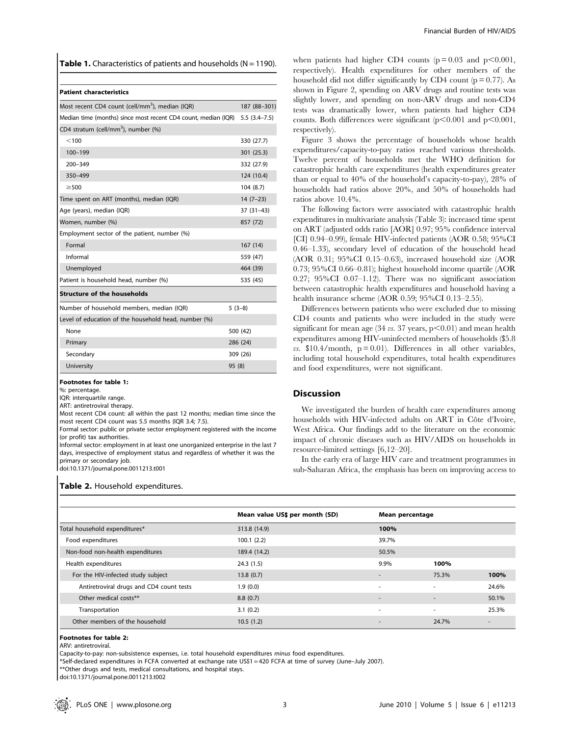**Table 1.** Characteristics of patients and households ( $N = 1190$ ).

#### Patient characteristics

| Most recent CD4 count (cell/mm <sup>3</sup> ), median (IQR)                  | 187 (88-301) |
|------------------------------------------------------------------------------|--------------|
| Median time (months) since most recent CD4 count, median (IQR) 5.5 (3.4–7.5) |              |
| CD4 stratum (cell/mm <sup>3</sup> ), number (%)                              |              |
| < 100                                                                        | 330 (27.7)   |
| 100-199                                                                      | 301 (25.3)   |
| $200 - 349$                                                                  | 332 (27.9)   |
| 350-499                                                                      | 124 (10.4)   |
| $\geq$ 500                                                                   | 104(8.7)     |
| Time spent on ART (months), median (IQR)                                     | $14(7-23)$   |
| Age (years), median (IQR)                                                    | $37(31-43)$  |
| Women, number (%)                                                            | 857 (72)     |
| Employment sector of the patient, number (%)                                 |              |
| Formal                                                                       | 167(14)      |
| Informal                                                                     | 559 (47)     |
| Unemployed                                                                   | 464 (39)     |
| Patient is household head, number (%)                                        | 535 (45)     |
| Structure of the households                                                  |              |
| Number of household members, median (IQR)                                    | $5(3-8)$     |
| Level of education of the household head, number (%)                         |              |
| None                                                                         | 500 (42)     |
| Primary                                                                      | 286 (24)     |
| Secondary                                                                    | 309 (26)     |
| University                                                                   | 95 (8)       |

#### Footnotes for table 1:

%: percentage.

IQR: interquartile range.

ART: antiretroviral therapy.

Most recent CD4 count: all within the past 12 months; median time since the most recent CD4 count was 5.5 months (IQR 3.4; 7.5).

Formal sector: public or private sector employment registered with the income (or profit) tax authorities.

Informal sector: employment in at least one unorganized enterprise in the last 7 days, irrespective of employment status and regardless of whether it was the primary or secondary job.

## doi:10.1371/journal.pone.0011213.t001

#### Table 2. Household expenditures.

when patients had higher CD4 counts ( $p = 0.03$  and  $p \le 0.001$ , respectively). Health expenditures for other members of the household did not differ significantly by CD4 count  $(p = 0.77)$ . As shown in Figure 2, spending on ARV drugs and routine tests was slightly lower, and spending on non-ARV drugs and non-CD4 tests was dramatically lower, when patients had higher CD4 counts. Both differences were significant  $(p<0.001$  and  $p<0.001$ , respectively).

Figure 3 shows the percentage of households whose health expenditures/capacity-to-pay ratios reached various thresholds. Twelve percent of households met the WHO definition for catastrophic health care expenditures (health expenditures greater than or equal to 40% of the household's capacity-to-pay), 28% of households had ratios above 20%, and 50% of households had ratios above 10.4%.

The following factors were associated with catastrophic health expenditures in multivariate analysis (Table 3): increased time spent on ART (adjusted odds ratio [AOR] 0.97; 95% confidence interval [CI] 0.94–0.99), female HIV-infected patients (AOR 0.58; 95%CI 0.46–1.33), secondary level of education of the household head (AOR 0.31; 95%CI 0.15–0.63), increased household size (AOR 0.73; 95%CI 0.66–0.81); highest household income quartile (AOR 0.27; 95%CI 0.07–1.12). There was no significant association between catastrophic health expenditures and household having a health insurance scheme (AOR 0.59; 95%CI 0.13–2.55).

Differences between patients who were excluded due to missing CD4 counts and patients who were included in the study were significant for mean age (34 vs. 37 years,  $p<0.01$ ) and mean health expenditures among HIV-uninfected members of households (\$5.8 vs.  $$10.4/month$ ,  $p = 0.01$ ). Differences in all other variables, including total household expenditures, total health expenditures and food expenditures, were not significant.

#### **Discussion**

We investigated the burden of health care expenditures among households with HIV-infected adults on ART in Côte d'Ivoire, West Africa. Our findings add to the literature on the economic impact of chronic diseases such as HIV/AIDS on households in resource-limited settings [6,12–20].

In the early era of large HIV care and treatment programmes in sub-Saharan Africa, the emphasis has been on improving access to

|                                          | Mean value US\$ per month (SD) | Mean percentage          |                          |                          |
|------------------------------------------|--------------------------------|--------------------------|--------------------------|--------------------------|
| Total household expenditures*            | 313.8 (14.9)                   | 100%                     |                          |                          |
| Food expenditures                        | 100.1(2.2)                     | 39.7%                    |                          |                          |
| Non-food non-health expenditures         | 189.4 (14.2)                   | 50.5%                    |                          |                          |
| Health expenditures                      | 24.3(1.5)                      | 9.9%                     | 100%                     |                          |
| For the HIV-infected study subject       | 13.8(0.7)                      | $\overline{\phantom{a}}$ | 75.3%                    | 100%                     |
| Antiretroviral drugs and CD4 count tests | 1.9(0.0)                       | ٠                        | $\overline{\phantom{a}}$ | 24.6%                    |
| Other medical costs**                    | 8.8(0.7)                       | $\overline{\phantom{a}}$ | $\overline{a}$           | 50.1%                    |
| Transportation                           | 3.1(0.2)                       | $\sim$                   | $\sim$                   | 25.3%                    |
| Other members of the household           | 10.5(1.2)                      | -                        | 24.7%                    | $\overline{\phantom{a}}$ |

#### Footnotes for table 2:

ARV: antiretroviral.

Capacity-to-pay: non-subsistence expenses, i.e. total household expenditures minus food expenditures.

\*Self-declared expenditures in FCFA converted at exchange rate US\$1 = 420 FCFA at time of survey (June–July 2007).

\*\*Other drugs and tests, medical consultations, and hospital stays.

doi:10.1371/journal.pone.0011213.t002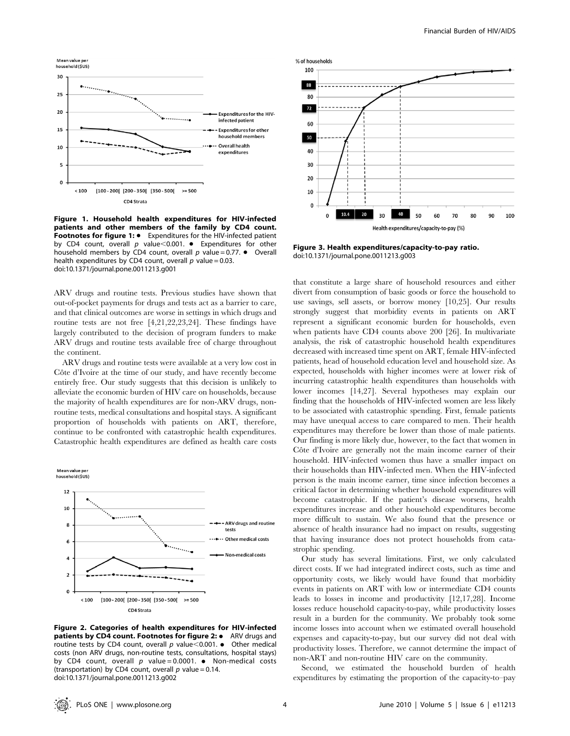

Figure 1. Household health expenditures for HIV-infected patients and other members of the family by CD4 count. Footnotes for figure 1:  $\bullet$  Expenditures for the HIV-infected patient by CD4 count, overall  $p$  value<0.001. • Expenditures for other household members by CD4 count, overall  $p$  value = 0.77.  $\bullet$  Overall health expenditures by CD4 count, overall  $p$  value = 0.03. doi:10.1371/journal.pone.0011213.g001

ARV drugs and routine tests. Previous studies have shown that out-of-pocket payments for drugs and tests act as a barrier to care, and that clinical outcomes are worse in settings in which drugs and routine tests are not free [4,21,22,23,24]. These findings have largely contributed to the decision of program funders to make ARV drugs and routine tests available free of charge throughout the continent.

ARV drugs and routine tests were available at a very low cost in Côte d'Ivoire at the time of our study, and have recently become entirely free. Our study suggests that this decision is unlikely to alleviate the economic burden of HIV care on households, because the majority of health expenditures are for non-ARV drugs, nonroutine tests, medical consultations and hospital stays. A significant proportion of households with patients on ART, therefore, continue to be confronted with catastrophic health expenditures. Catastrophic health expenditures are defined as health care costs





Figure 2. Categories of health expenditures for HIV-infected **patients by CD4 count. Footnotes for figure 2: •** ARV drugs and routine tests by CD4 count, overall  $p$  value $<$ 0.001. • Other medical costs (non ARV drugs, non-routine tests, consultations, hospital stays) by CD4 count, overall p value = 0.0001.  $\bullet$  Non-medical costs (transportation) by CD4 count, overall  $p$  value = 0.14. doi:10.1371/journal.pone.0011213.g002



Figure 3. Health expenditures/capacity-to-pay ratio. doi:10.1371/journal.pone.0011213.g003

that constitute a large share of household resources and either divert from consumption of basic goods or force the household to use savings, sell assets, or borrow money [10,25]. Our results strongly suggest that morbidity events in patients on ART represent a significant economic burden for households, even when patients have CD4 counts above 200 [26]. In multivariate analysis, the risk of catastrophic household health expenditures decreased with increased time spent on ART, female HIV-infected patients, head of household education level and household size. As expected, households with higher incomes were at lower risk of incurring catastrophic health expenditures than households with lower incomes [14,27]. Several hypotheses may explain our finding that the households of HIV-infected women are less likely to be associated with catastrophic spending. First, female patients may have unequal access to care compared to men. Their health expenditures may therefore be lower than those of male patients. Our finding is more likely due, however, to the fact that women in Côte d'Ivoire are generally not the main income earner of their household. HIV-infected women thus have a smaller impact on their households than HIV-infected men. When the HIV-infected person is the main income earner, time since infection becomes a critical factor in determining whether household expenditures will become catastrophic. If the patient's disease worsens, health expenditures increase and other household expenditures become more difficult to sustain. We also found that the presence or absence of health insurance had no impact on results, suggesting that having insurance does not protect households from catastrophic spending.

Our study has several limitations. First, we only calculated direct costs. If we had integrated indirect costs, such as time and opportunity costs, we likely would have found that morbidity events in patients on ART with low or intermediate CD4 counts leads to losses in income and productivity [12,17,28]. Income losses reduce household capacity-to-pay, while productivity losses result in a burden for the community. We probably took some income losses into account when we estimated overall household expenses and capacity-to-pay, but our survey did not deal with productivity losses. Therefore, we cannot determine the impact of non-ART and non-routine HIV care on the community.

Second, we estimated the household burden of health expenditures by estimating the proportion of the capacity-to–pay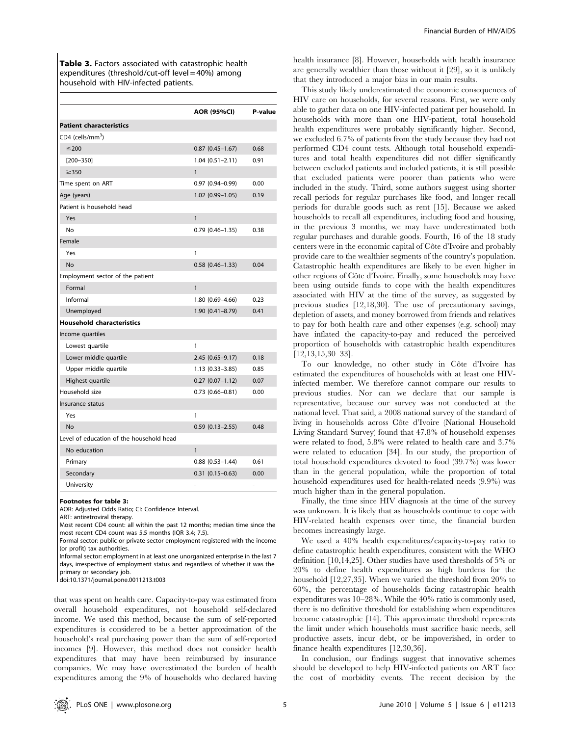Table 3. Factors associated with catastrophic health expenditures (threshold/cut-off level = 40%) among household with HIV-infected patients.

|                                          | <b>AOR (95%CI)</b>     | P-value |
|------------------------------------------|------------------------|---------|
| <b>Patient characteristics</b>           |                        |         |
| CD4 (cells/mm <sup>3</sup> )             |                        |         |
| $≤200$                                   | $0.87$ (0.45-1.67)     | 0.68    |
| $[200 - 350]$                            | $1.04(0.51 - 2.11)$    | 0.91    |
| $\geq$ 350                               | 1                      |         |
| Time spent on ART                        | $0.97(0.94 - 0.99)$    | 0.00    |
| Age (years)                              | $1.02(0.99 - 1.05)$    | 0.19    |
| Patient is household head                |                        |         |
| Yes                                      | $\mathbf{1}$           |         |
| No                                       | $0.79(0.46 - 1.35)$    | 0.38    |
| Female                                   |                        |         |
| Yes                                      | 1                      |         |
| <b>No</b>                                | $0.58(0.46 - 1.33)$    | 0.04    |
| Employment sector of the patient         |                        |         |
| Formal                                   | 1                      |         |
| Informal                                 | 1.80 (0.69-4.66)       | 0.23    |
| Unemployed                               | $1.90(0.41 - 8.79)$    | 0.41    |
| <b>Household characteristics</b>         |                        |         |
| Income quartiles                         |                        |         |
| Lowest quartile                          | 1                      |         |
| Lower middle quartile                    | $2.45(0.65 - 9.17)$    | 0.18    |
| Upper middle quartile                    | 1.13 (0.33-3.85)       | 0.85    |
| Highest quartile                         | $0.27(0.07 - 1.12)$    | 0.07    |
| Household size                           | $0.73(0.66 - 0.81)$    | 0.00    |
| Insurance status                         |                        |         |
| Yes                                      | 1                      |         |
| <b>No</b>                                | $0.59(0.13 - 2.55)$    | 0.48    |
| Level of education of the household head |                        |         |
| No education                             | 1                      |         |
| Primary                                  | $0.88$ $(0.53 - 1.44)$ | 0.61    |
| Secondary                                | $0.31(0.15 - 0.63)$    | 0.00    |
| University                               |                        |         |

#### Footnotes for table 3:

AOR: Adjusted Odds Ratio; CI: Confidence Interval.

ART: antiretroviral therapy.

Most recent CD4 count: all within the past 12 months; median time since the most recent CD4 count was 5.5 months (IQR 3.4; 7.5).

Formal sector: public or private sector employment registered with the income (or profit) tax authorities.

Informal sector: employment in at least one unorganized enterprise in the last 7 days, irrespective of employment status and regardless of whether it was the primary or secondary job.

doi:10.1371/journal.pone.0011213.t003

that was spent on health care. Capacity-to-pay was estimated from overall household expenditures, not household self-declared income. We used this method, because the sum of self-reported expenditures is considered to be a better approximation of the household's real purchasing power than the sum of self-reported incomes [9]. However, this method does not consider health expenditures that may have been reimbursed by insurance companies. We may have overestimated the burden of health expenditures among the 9% of households who declared having health insurance [8]. However, households with health insurance are generally wealthier than those without it [29], so it is unlikely that they introduced a major bias in our main results.

This study likely underestimated the economic consequences of HIV care on households, for several reasons. First, we were only able to gather data on one HIV-infected patient per household. In households with more than one HIV-patient, total household health expenditures were probably significantly higher. Second, we excluded 6.7% of patients from the study because they had not performed CD4 count tests. Although total household expenditures and total health expenditures did not differ significantly between excluded patients and included patients, it is still possible that excluded patients were poorer than patients who were included in the study. Third, some authors suggest using shorter recall periods for regular purchases like food, and longer recall periods for durable goods such as rent [15]. Because we asked households to recall all expenditures, including food and housing, in the previous 3 months, we may have underestimated both regular purchases and durable goods. Fourth, 16 of the 18 study centers were in the economic capital of Côte d'Ivoire and probably provide care to the wealthier segments of the country's population. Catastrophic health expenditures are likely to be even higher in other regions of Côte d'Ivoire. Finally, some households may have been using outside funds to cope with the health expenditures associated with HIV at the time of the survey, as suggested by previous studies [12,18,30]. The use of precautionary savings, depletion of assets, and money borrowed from friends and relatives to pay for both health care and other expenses (e.g. school) may have inflated the capacity-to-pay and reduced the perceived proportion of households with catastrophic health expenditures [12,13,15,30–33].

To our knowledge, no other study in Côte d'Ivoire has estimated the expenditures of households with at least one HIVinfected member. We therefore cannot compare our results to previous studies. Nor can we declare that our sample is representative, because our survey was not conducted at the national level. That said, a 2008 national survey of the standard of living in households across Côte d'Ivoire (National Household Living Standard Survey) found that 47.8% of household expenses were related to food, 5.8% were related to health care and 3.7% were related to education [34]. In our study, the proportion of total household expenditures devoted to food (39.7%) was lower than in the general population, while the proportion of total household expenditures used for health-related needs (9.9%) was much higher than in the general population.

Finally, the time since HIV diagnosis at the time of the survey was unknown. It is likely that as households continue to cope with HIV-related health expenses over time, the financial burden becomes increasingly large.

We used a 40% health expenditures/capacity-to-pay ratio to define catastrophic health expenditures, consistent with the WHO definition [10,14,25]. Other studies have used thresholds of 5% or 20% to define health expenditures as high burdens for the household [12,27,35]. When we varied the threshold from 20% to 60%, the percentage of households facing catastrophic health expenditures was 10–28%. While the 40% ratio is commonly used, there is no definitive threshold for establishing when expenditures become catastrophic [14]. This approximate threshold represents the limit under which households must sacrifice basic needs, sell productive assets, incur debt, or be impoverished, in order to finance health expenditures [12,30,36].

In conclusion, our findings suggest that innovative schemes should be developed to help HIV-infected patients on ART face the cost of morbidity events. The recent decision by the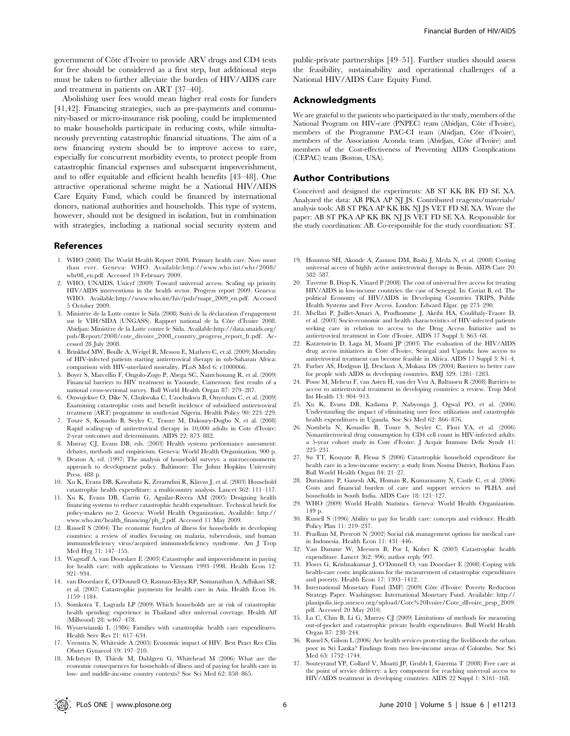government of Côte d'Ivoire to provide ARV drugs and CD4 tests for free should be considered as a first step, but additional steps must be taken to further alleviate the burden of HIV/AIDS care and treatment in patients on ART [37–40].

Abolishing user fees would mean higher real costs for funders [41,42]. Financing strategies, such as pre-payments and community-based or micro-insurance risk pooling, could be implemented to make households participate in reducing costs, while simultaneously preventing catastrophic financial situations. The aim of a new financing system should be to improve access to care, especially for concurrent morbidity events, to protect people from catastrophic financial expenses and subsequent impoverishment, and to offer equitable and efficient health benefits [43–48]. One attractive operational scheme might be a National HIV/AIDS Care Equity Fund, which could be financed by international donors, national authorities and households. This type of system, however, should not be designed in isolation, but in combination with strategies, including a national social security system and

#### References

- 1. WHO (2008) The World Health Report 2008. Primary health care. Now more than ever. Geneva: WHO. Available:http://www.who.int/whr/2008/ whr08\_en.pdf. Accessed 19 February 2009.
- 2. WHO, UNAIDS, Unicef (2009) Toward universal access. Scaling up priority HIV/AIDS interventions in the health sector. Progress report 2009. Geneva: WHO. Available:http://www.who.int/hiv/pub/tuapr\_2009\_en.pdf. Accessed 5 October 2009.
- 3. Ministère de la Lutte contre le Sida (2008) Suivi de la déclaration d'engagement sur le VIH/SIDA (UNGASS). Rapport national de la Côte d'Ivoire 2008. Abidjan: Ministère de la Lutte contre le Sida. Available:http://data.unaids.org/ pub/Report/2008/cote\_divoire\_2008\_country\_progress\_report\_fr.pdf. Accessed 28 July 2008.
- 4. Brinkhof MW, Boulle A, Weigel R, Messou E, Mathers C, et al. (2009) Mortality of HIV-infected patients starting antiretroviral therapy in sub-Saharan Africa: comparison with HIV-unrelated mortality. PLoS Med 6: e1000066.
- 5. Boyer S, Marcellin F, Ongolo-Zogo P, Abega SC, Nantchouang R, et al. (2009) Financial barriers to HIV treatment in Yaounde, Cameroon: first results of a national cross-sectional survey. Bull World Health Organ 87: 279–287.
- 6. Onwujekwe O, Dike N, Chukwuka C, Uzochukwu B, Onyedum C, et al. (2009) Examining catastrophic costs and benefit incidence of subsidized antiretroviral treatment (ART) programme in south-east Nigeria. Health Policy 90: 223–229.
- 7. Toure S, Kouadio B, Seyler C, Traore M, Dakoury-Dogbo N, et al. (2008) Rapid scaling-up of antiretroviral therapy in 10,000 adults in Cote d'Ivoire: 2-year outcomes and determinants. AIDS 22: 873–882.
- 8. Murray CJ, Evans DB, eds. (2003) Health systems performance assessment: debates, methods and empiricism. Geneva: World Health Organization. 900 p.
- 9. Deaton A, ed. (1997) The analysis of household surveys: a microeconometric approach to development policy. Baltimore: The Johns Hopkins University Press. 488 p.
- 10. Xu K, Evans DB, Kawabata K, Zeramdini R, Klavus J, et al. (2003) Household catastrophic health expenditure: a multicountry analysis. Lancet 362: 111–117.
- 11. Xu K, Evans DB, Carrin G, Aguilar-Rivera AM (2005) Designing health financing systems to reduce catastrophic health expenditure. Technical briefs for policy-makers no 2. Geneva: World Health Organization, Available: http:// www.who.int/health\_financing/pb\_2.pdf. Accessed 11 May 2009.
- 12. Russell S (2004) The economic burden of illness for households in developing countries: a review of studies focusing on malaria, tuberculosis, and human immunodeficiency virus/acquired immunodeficiency syndrome. Am J Trop Med Hyg 71: 147–155.
- 13. Wagstaff A, van Doorslaer E (2003) Catastrophe and impoverishment in paying for health care: with applications to Vietnam 1993–1998. Health Econ 12: 921–934.
- 14. van Doorslaer E, O'Donnell O, Rannan-Eliya RP, Somanathan A, Adhikari SR, et al. (2007) Catastrophic payments for health care in Asia. Health Econ 16: 1159–1184.
- 15. Somkotra T, Lagrada LP (2009) Which households are at risk of catastrophic health spending: experience in Thailand after universal coverage. Health Aff (Millwood) 28: w467–478.
- 16. Wyszewianski L (1986) Families with catastrophic health care expenditures. Health Serv Res 21: 617–634.
- 17. Veenstra N, Whiteside A (2005) Economic impact of HIV. Best Pract Res Clin Obstet Gynaecol 19: 197–210.
- 18. McIntyre D, Thiede M, Dahlgren G, Whitehead M (2006) What are the economic consequences for households of illness and of paying for health care in low- and middle-income country contexts? Soc Sci Med 62: 858–865.

public-private partnerships [49–51]. Further studies should assess the feasibility, sustainability and operational challenges of a National HIV/AIDS Care Equity Fund.

### Acknowledgments

We are grateful to the patients who participated in the study, members of the National Program on HIV-care (PNPEC) team (Abidjan, Côte d'Ivoire), members of the Programme PAC-CI team (Abidjan, Côte d'Ivoire), members of the Association Aconda team (Abidjan, Côte d'Ivoire) and members of the Cost-effectiveness of Preventing AIDS Complications (CEPAC) team (Boston, USA).

#### Author Contributions

Conceived and designed the experiments: AB ST KK BK FD SE XA. Analyzed the data: AB PKA AP NJ JS. Contributed reagents/materials/ analysis tools: AB ST PKA AP KK BK NJ JS VET FD SE XA. Wrote the paper: AB ST PKA AP KK BK NJ JS VET FD SE XA. Responsible for the study coordination: AB. Co-responsible for the study coordination: ST.

- 19. Hounton SH, Akonde A, Zannou DM, Bashi J, Meda N, et al. (2008) Costing universal access of highly active antiretroviral therapy in Benin. AIDS Care 20: 582–587.
- 20. Taverne B, Diop K, Vinard P (2008) The cost of universal free access for treating HIV/AIDS in low-income countries: the case of Senegal. In: Coriat B, ed. The political Economy of HIV/AIDS in Developing Countries TRIPS, Public Health Systems and Free Access. London: Edward Elgar. pp 273–290.
- 21. Msellati P, Juillet-Amari A, Prudhomme J, Akribi HA, Coulibaly-Traore D, et al. (2003) Socio-economic and health characteristics of HIV-infected patients seeking care in relation to access to the Drug Access Initiative antiretroviral treatment in Cote d'Ivoire. AIDS 17 Suppl 3: S63–68.
- 22. Katzenstein D, Laga M, Moatti JP (2003) The evaluation of the HIV/AIDS drug access initiatives in Cote d'Ivoire, Senegal and Uganda: how access to antiretroviral treatment can become feasible in Africa. AIDS 17 Suppl 3: S1–4.
- 23. Furber AS, Hodgson IJ, Desclaux A, Mukasa DS (2004) Barriers to better care for people with AIDS in developing countries. BMJ 329: 1281–1283.
- 24. Posse M, Meheus F, van Asten H, van der Ven A, Baltussen R (2008) Barriers to access to antiretroviral treatment in developing countries: a review. Trop Med Int Health 13: 904–913.
- 25. Xu K, Evans DB, Kadama P, Nabyonga J, Ogwal PO, et al. (2006) Understanding the impact of eliminating user fees: utilization and catastrophic health expenditures in Uganda. Soc Sci Med 62: 866–876.
- 26. Nombela N, Kouadio B, Toure S, Seyler C, Flori YA, et al. (2006) Nonantiretroviral drug consumption by CD4 cell count in HIV-infected adults: a 5-year cohort study in Cote d'Ivoire. J Acquir Immune Defic Syndr 41: 225–231.
- 27. Su TT, Kouyate B, Flessa S (2006) Catastrophic household expenditure for health care in a low-income society: a study from Nouna District, Burkina Faso. Bull World Health Organ 84: 21–27.
- 28. Duraisamy P, Ganesh AK, Homan R, Kumarasamy N, Castle C, et al. (2006) Costs and financial burden of care and support services to PLHA and households in South India. AIDS Care 18: 121–127.
- 29. WHO (2009) World Health Statistics. Geneva: World Health Organization. 149 p.
- 30. Russell S (1996) Ability to pay for health care: concepts and evidence. Health Policy Plan 11: 219–237.
- 31. Pradhan M, Prescott N (2002) Social risk management options for medical care in Indonesia. Health Econ 11: 431–446.
- 32. Van Damme W, Meessen B, Por I, Kober K (2003) Catastrophic health expenditure. Lancet 362: 996; author reply 997.
- 33. Flores G, Krishnakumar J, O'Donnell O, van Doorslaer E (2008) Coping with health-care costs: implications for the measurement of catastrophic expenditures and poverty. Health Econ 17: 1393–1412.
- 34. International Monetary Fund (IMF) (2009) Côte d'Ivoire: Poverty Reduction Strategy Paper. Washington: International Monetary Fund. Available: http:// planipolis.iiep.unesco.org/upload/Cote%20Ivoire/Cote\_dIvoire\_prsp\_2009. pdf. Accessed 20 May 2010.
- 35. Lu C, Chin B, Li G, Murray CJ (2009) Limitations of methods for measuring out-of-pocket and catastrophic private health expenditures. Bull World Health Organ 87: 238–244.
- 36. Russel S, Gilson L (2006) Are health services protecting the livelihoods the urban poor in Sri Lanka? Findings from two low-income areas of Colombo. Soc Sci Med 63: 1732–1744.
- 37. Souteyrand YP, Collard V, Moatti JP, Grubb I, Guerma T (2008) Free care at the point of service delivery: a key component for reaching universal access to HIV/AIDS treatment in developing countries. AIDS 22 Suppl 1: S161–168.